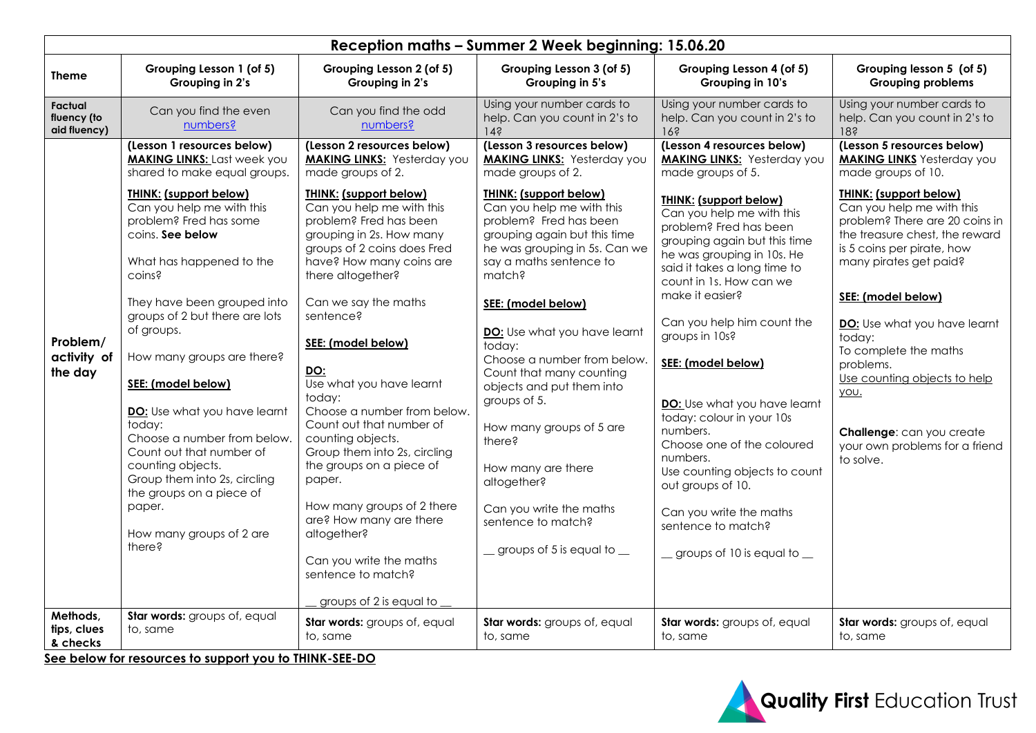| Reception maths - Summer 2 Week beginning: 15.06.20 |                                                                                                                                                                                                                                                                                                                                                                                                                                                                                                                                                                                                                             |                                                                                                                                                                                                                                                                                                                                                                                                                                                                                                                                                                                                                                                                                                             |                                                                                                                                                                                                                                                                                                                                                                                                                                                                                                                                                                                                                                      |                                                                                                                                                                                                                                                                                                                                                                                                                                                                                                                                                                                                                                                         |                                                                                                                                                                                                                                                                                                                                                                                                                                                                                                           |  |  |  |
|-----------------------------------------------------|-----------------------------------------------------------------------------------------------------------------------------------------------------------------------------------------------------------------------------------------------------------------------------------------------------------------------------------------------------------------------------------------------------------------------------------------------------------------------------------------------------------------------------------------------------------------------------------------------------------------------------|-------------------------------------------------------------------------------------------------------------------------------------------------------------------------------------------------------------------------------------------------------------------------------------------------------------------------------------------------------------------------------------------------------------------------------------------------------------------------------------------------------------------------------------------------------------------------------------------------------------------------------------------------------------------------------------------------------------|--------------------------------------------------------------------------------------------------------------------------------------------------------------------------------------------------------------------------------------------------------------------------------------------------------------------------------------------------------------------------------------------------------------------------------------------------------------------------------------------------------------------------------------------------------------------------------------------------------------------------------------|---------------------------------------------------------------------------------------------------------------------------------------------------------------------------------------------------------------------------------------------------------------------------------------------------------------------------------------------------------------------------------------------------------------------------------------------------------------------------------------------------------------------------------------------------------------------------------------------------------------------------------------------------------|-----------------------------------------------------------------------------------------------------------------------------------------------------------------------------------------------------------------------------------------------------------------------------------------------------------------------------------------------------------------------------------------------------------------------------------------------------------------------------------------------------------|--|--|--|
| <b>Theme</b>                                        | Grouping Lesson 1 (of 5)<br>Grouping in 2's                                                                                                                                                                                                                                                                                                                                                                                                                                                                                                                                                                                 | Grouping Lesson 2 (of 5)<br>Grouping in 2's                                                                                                                                                                                                                                                                                                                                                                                                                                                                                                                                                                                                                                                                 | Grouping Lesson 3 (of 5)<br>Grouping in 5's                                                                                                                                                                                                                                                                                                                                                                                                                                                                                                                                                                                          | Grouping Lesson 4 (of 5)<br>Grouping in 10's                                                                                                                                                                                                                                                                                                                                                                                                                                                                                                                                                                                                            | Grouping lesson 5 (of 5)<br><b>Grouping problems</b>                                                                                                                                                                                                                                                                                                                                                                                                                                                      |  |  |  |
| <b>Factual</b><br>fluency (to<br>aid fluency)       | Can you find the even<br>numbers?                                                                                                                                                                                                                                                                                                                                                                                                                                                                                                                                                                                           | Can you find the odd<br>numbers?                                                                                                                                                                                                                                                                                                                                                                                                                                                                                                                                                                                                                                                                            | Using your number cards to<br>help. Can you count in 2's to<br>$14$ ?                                                                                                                                                                                                                                                                                                                                                                                                                                                                                                                                                                | Using your number cards to<br>help. Can you count in 2's to<br>16?                                                                                                                                                                                                                                                                                                                                                                                                                                                                                                                                                                                      | Using your number cards to<br>help. Can you count in 2's to<br>18?                                                                                                                                                                                                                                                                                                                                                                                                                                        |  |  |  |
| Problem/<br>activity of<br>the day                  | (Lesson 1 resources below)<br><b>MAKING LINKS: Last week you</b><br>shared to make equal groups.<br><b>THINK: (support below)</b><br>Can you help me with this<br>problem? Fred has some<br>coins. See below<br>What has happened to the<br>coins?<br>They have been grouped into<br>groups of 2 but there are lots<br>of groups.<br>How many groups are there?<br>SEE: (model below)<br>DO: Use what you have learnt<br>today:<br>Choose a number from below.<br>Count out that number of<br>counting objects.<br>Group them into 2s, circling<br>the groups on a piece of<br>paper.<br>How many groups of 2 are<br>there? | (Lesson 2 resources below)<br><b>MAKING LINKS:</b> Yesterday you<br>made groups of 2.<br><b>THINK: (support below)</b><br>Can you help me with this<br>problem? Fred has been<br>grouping in 2s. How many<br>groups of 2 coins does Fred<br>have? How many coins are<br>there altogether?<br>Can we say the maths<br>sentence?<br>SEE: (model below)<br>DO:<br>Use what you have learnt<br>today:<br>Choose a number from below.<br>Count out that number of<br>counting objects.<br>Group them into 2s, circling<br>the groups on a piece of<br>paper.<br>How many groups of 2 there<br>are? How many are there<br>altogether?<br>Can you write the maths<br>sentence to match?<br>groups of 2 is equal to | (Lesson 3 resources below)<br><b>MAKING LINKS:</b> Yesterday you<br>made groups of 2.<br><b>THINK: (support below)</b><br>Can you help me with this<br>problem? Fred has been<br>grouping again but this time<br>he was grouping in 5s. Can we<br>say a maths sentence to<br>match?<br>SEE: (model below)<br>DO: Use what you have learnt<br>today:<br>Choose a number from below.<br>Count that many counting<br>objects and put them into<br>groups of 5.<br>How many groups of 5 are<br>there?<br>How many are there<br>altogether?<br>Can you write the maths<br>sentence to match?<br>$\equiv$ groups of 5 is equal to $\equiv$ | (Lesson 4 resources below)<br><b>MAKING LINKS: Yesterday you</b><br>made groups of 5.<br><b>THINK: (support below)</b><br>Can you help me with this<br>problem? Fred has been<br>grouping again but this time<br>he was grouping in 10s. He<br>said it takes a long time to<br>count in 1s. How can we<br>make it easier?<br>Can you help him count the<br>groups in 10s?<br>SEE: (model below)<br>DO: Use what you have learnt<br>today: colour in your 10s<br>numbers.<br>Choose one of the coloured<br>numbers.<br>Use counting objects to count<br>out groups of 10.<br>Can you write the maths<br>sentence to match?<br>groups of 10 is equal to _ | (Lesson 5 resources below)<br><b>MAKING LINKS</b> Yesterday you<br>made groups of 10.<br><b>THINK: (support below)</b><br>Can you help me with this<br>problem? There are 20 coins in<br>the treasure chest, the reward<br>is 5 coins per pirate, how<br>many pirates get paid?<br>SEE: (model below)<br>DO: Use what you have learnt<br>today:<br>To complete the maths<br>problems.<br>Use counting objects to help<br>you.<br>Challenge: can you create<br>your own problems for a friend<br>to solve. |  |  |  |
| Methods,<br>tips, clues<br>& checks                 | Star words: groups of, equal<br>to, same<br>See below for resources to support you to THINK-SEE-DO                                                                                                                                                                                                                                                                                                                                                                                                                                                                                                                          | Star words: groups of, equal<br>to, same                                                                                                                                                                                                                                                                                                                                                                                                                                                                                                                                                                                                                                                                    | Star words: groups of, equal<br>to, same                                                                                                                                                                                                                                                                                                                                                                                                                                                                                                                                                                                             | Star words: groups of, equal<br>to, same                                                                                                                                                                                                                                                                                                                                                                                                                                                                                                                                                                                                                | Star words: groups of, equal<br>to, same                                                                                                                                                                                                                                                                                                                                                                                                                                                                  |  |  |  |

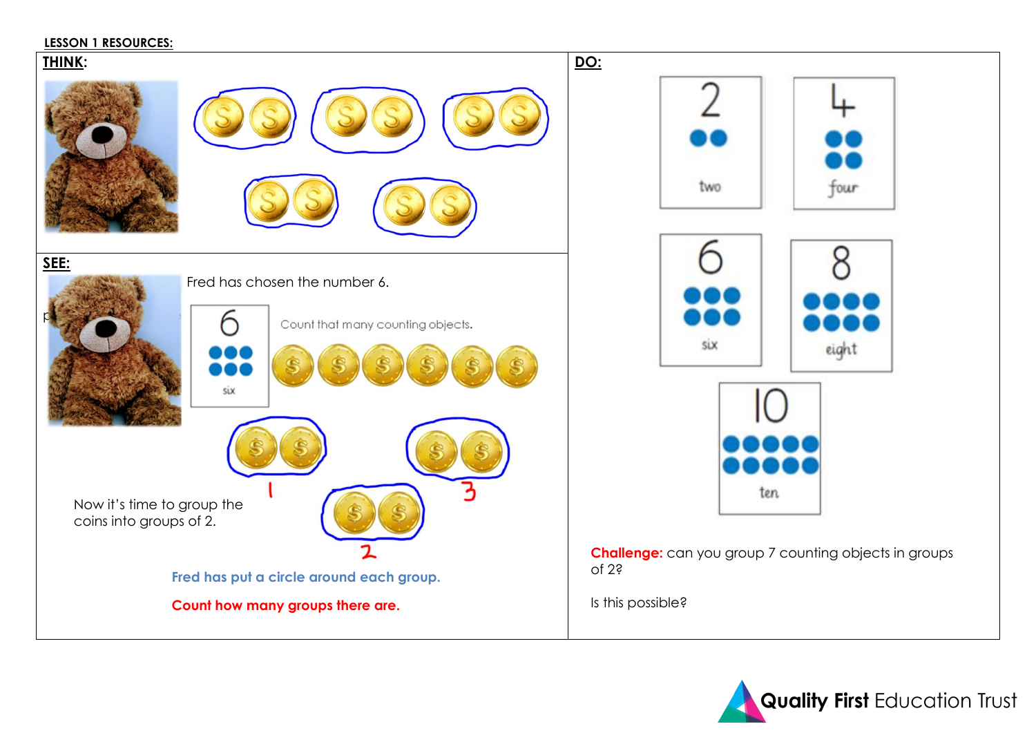#### **LESSON 1 RESOURCES:**

## **THINK:**





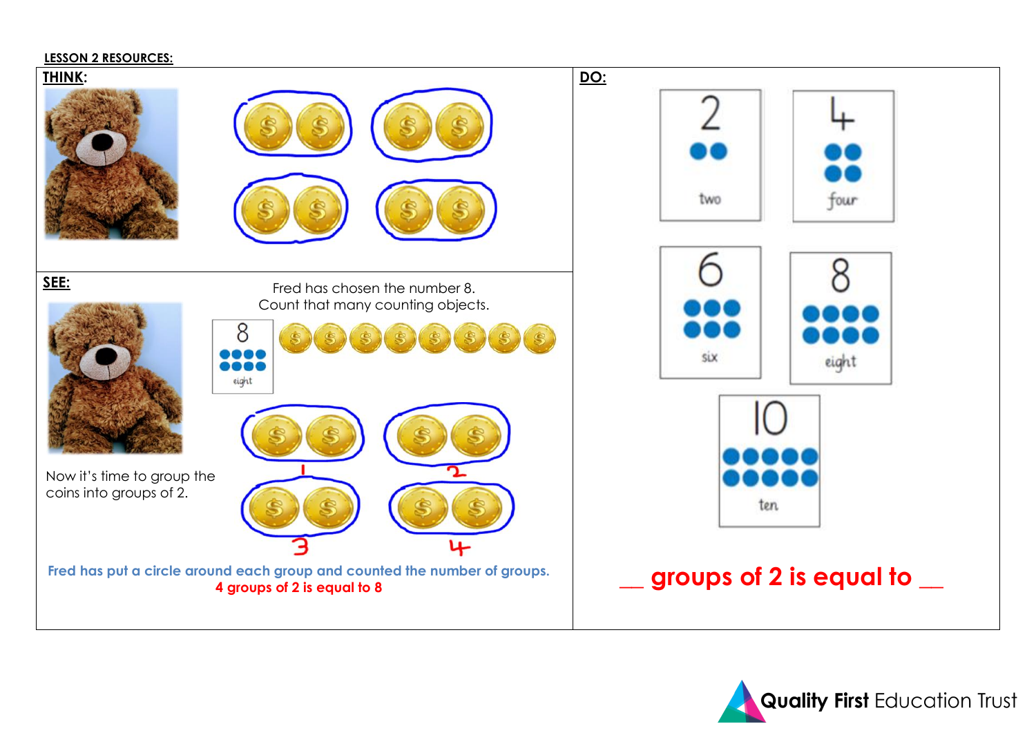#### **LESSON 2 RESOURCES:**



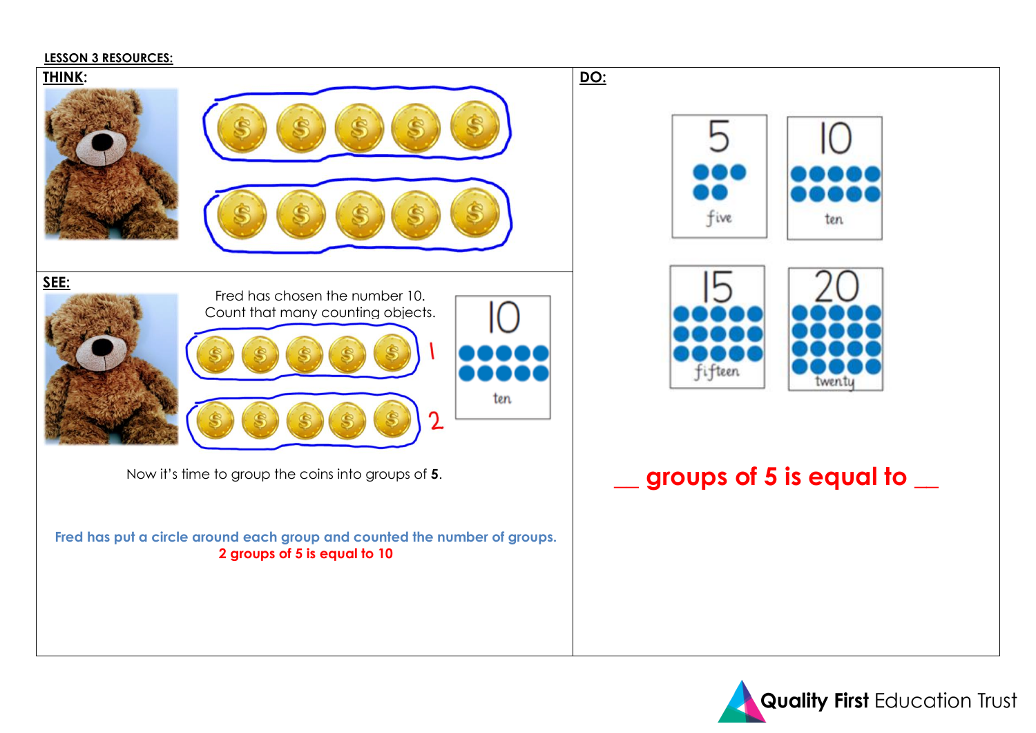#### **LESSON 3 RESOURCES:**



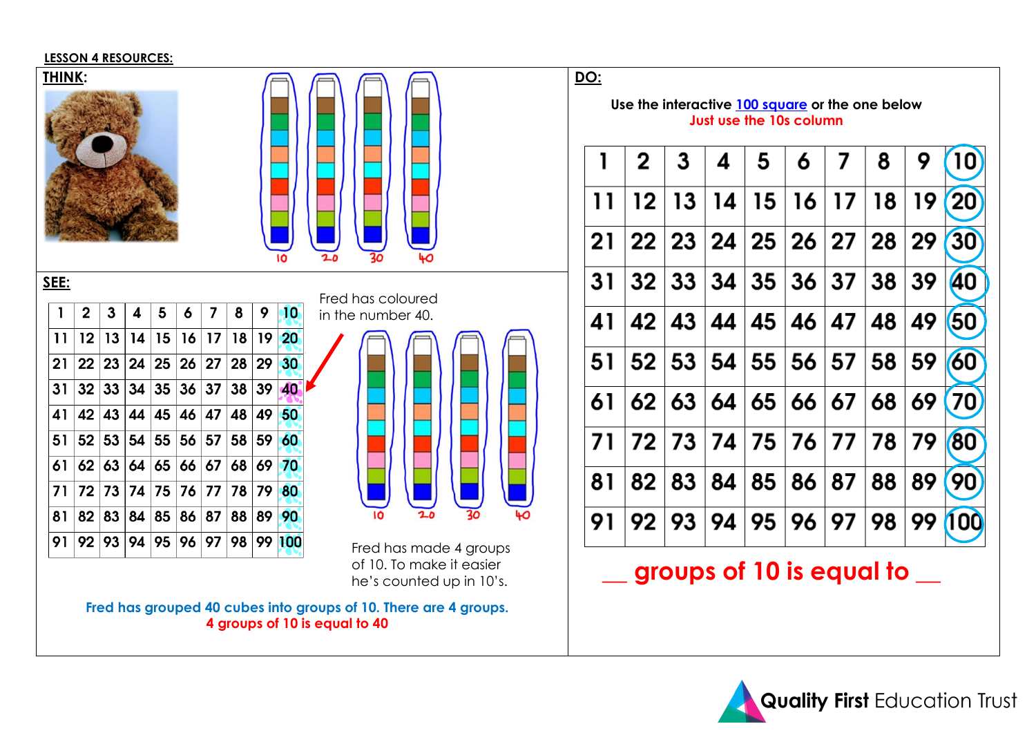### **LESSON 4 RESOURCES:**



of 10. To make it easier he's counted up in 10's.

**Fred has grouped 40 cubes into groups of 10. There are 4 groups. 4 groups of 10 is equal to 40**

**\_\_ groups of 10 is equal to \_\_**

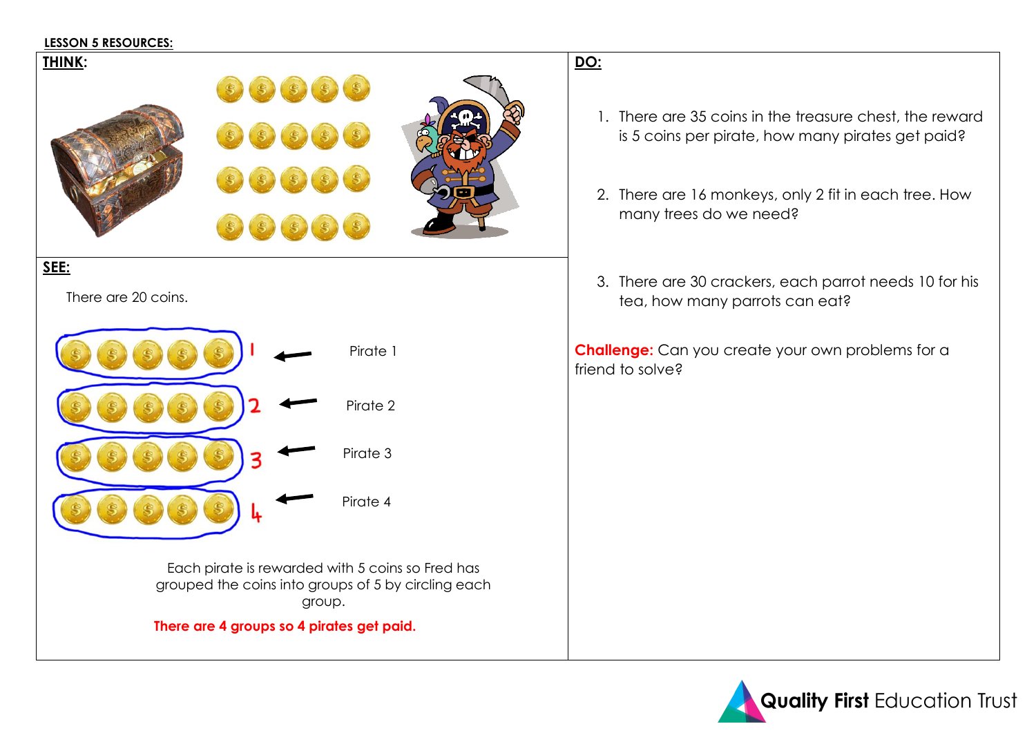